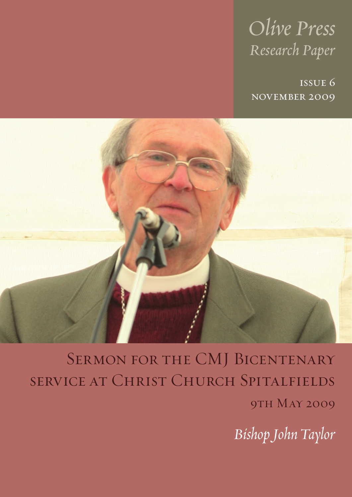# *Olive Press Research Paper*

issue 6 november 2009



SERMON FOR THE CMJ BICENTENARY service at Christ Church Spitalfields **9TH MAY 2009** 

*Bishop John Taylor*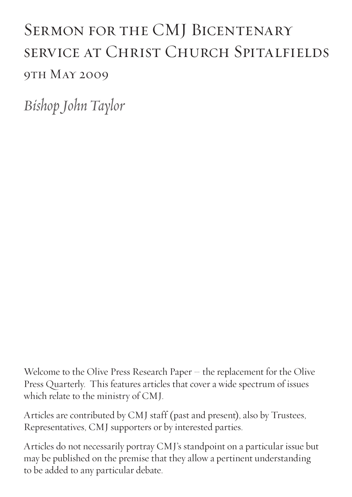## SERMON FOR THE CMJ BICENTENARY service at Christ Church Spitalfields 9TH MAY 2009

*Bishop John Taylor*

Welcome to the Olive Press Research Paper – the replacement for the Olive Press Quarterly. This features articles that cover a wide spectrum of issues which relate to the ministry of CMJ.

Articles are contributed by CMJ staff (past and present), also by Trustees, Representatives, CMJ supporters or by interested parties.

Articles do not necessarily portray CMJ's standpoint on a particular issue but may be published on the premise that they allow a pertinent understanding to be added to any particular debate.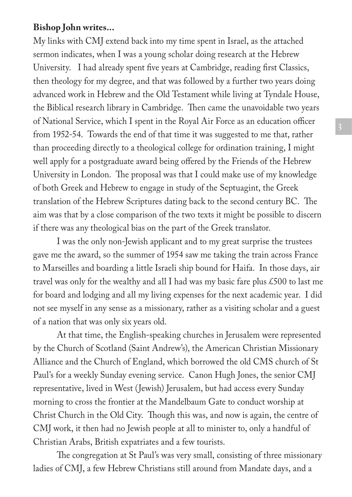## **Bishop John writes...**

My links with CMJ extend back into my time spent in Israel, as the attached sermon indicates, when I was a young scholar doing research at the Hebrew University. I had already spent five years at Cambridge, reading first Classics, then theology for my degree, and that was followed by a further two years doing advanced work in Hebrew and the Old Testament while living at Tyndale House, the Biblical research library in Cambridge. Then came the unavoidable two years of National Service, which I spent in the Royal Air Force as an education officer from 1952-54. Towards the end of that time it was suggested to me that, rather than proceeding directly to a theological college for ordination training, I might well apply for a postgraduate award being offered by the Friends of the Hebrew University in London. The proposal was that I could make use of my knowledge of both Greek and Hebrew to engage in study of the Septuagint, the Greek translation of the Hebrew Scriptures dating back to the second century BC. The aim was that by a close comparison of the two texts it might be possible to discern if there was any theological bias on the part of the Greek translator.

I was the only non-Jewish applicant and to my great surprise the trustees gave me the award, so the summer of 1954 saw me taking the train across France to Marseilles and boarding a little Israeli ship bound for Haifa. In those days, air travel was only for the wealthy and all I had was my basic fare plus £500 to last me for board and lodging and all my living expenses for the next academic year. I did not see myself in any sense as a missionary, rather as a visiting scholar and a guest of a nation that was only six years old.

At that time, the English-speaking churches in Jerusalem were represented by the Church of Scotland (Saint Andrew's), the American Christian Missionary Alliance and the Church of England, which borrowed the old CMS church of St Paul's for a weekly Sunday evening service. Canon Hugh Jones, the senior CMJ representative, lived in West (Jewish) Jerusalem, but had access every Sunday morning to cross the frontier at the Mandelbaum Gate to conduct worship at Christ Church in the Old City. Though this was, and now is again, the centre of CMJ work, it then had no Jewish people at all to minister to, only a handful of Christian Arabs, British expatriates and a few tourists.

The congregation at St Paul's was very small, consisting of three missionary ladies of CMJ, a few Hebrew Christians still around from Mandate days, and a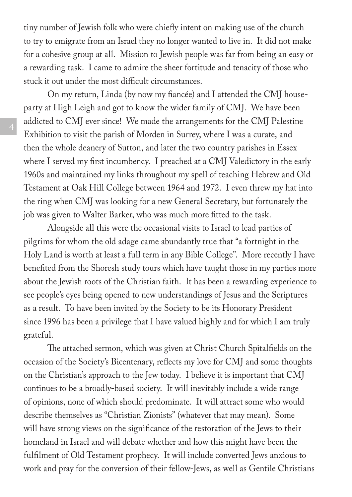tiny number of Jewish folk who were chiefly intent on making use of the church to try to emigrate from an Israel they no longer wanted to live in. It did not make for a cohesive group at all. Mission to Jewish people was far from being an easy or a rewarding task. I came to admire the sheer fortitude and tenacity of those who stuck it out under the most difficult circumstances.

On my return, Linda (by now my fiancée) and I attended the CMJ houseparty at High Leigh and got to know the wider family of CMJ. We have been addicted to CMJ ever since! We made the arrangements for the CMJ Palestine Exhibition to visit the parish of Morden in Surrey, where I was a curate, and then the whole deanery of Sutton, and later the two country parishes in Essex where I served my first incumbency. I preached at a CMJ Valedictory in the early 1960s and maintained my links throughout my spell of teaching Hebrew and Old Testament at Oak Hill College between 1964 and 1972. I even threw my hat into the ring when CMJ was looking for a new General Secretary, but fortunately the job was given to Walter Barker, who was much more fitted to the task.

Alongside all this were the occasional visits to Israel to lead parties of pilgrims for whom the old adage came abundantly true that "a fortnight in the Holy Land is worth at least a full term in any Bible College". More recently I have benefited from the Shoresh study tours which have taught those in my parties more about the Jewish roots of the Christian faith. It has been a rewarding experience to see people's eyes being opened to new understandings of Jesus and the Scriptures as a result. To have been invited by the Society to be its Honorary President since 1996 has been a privilege that I have valued highly and for which I am truly grateful.

The attached sermon, which was given at Christ Church Spitalfields on the occasion of the Society's Bicentenary, reflects my love for CMJ and some thoughts on the Christian's approach to the Jew today. I believe it is important that CMJ continues to be a broadly-based society. It will inevitably include a wide range of opinions, none of which should predominate. It will attract some who would describe themselves as "Christian Zionists" (whatever that may mean). Some will have strong views on the significance of the restoration of the Jews to their homeland in Israel and will debate whether and how this might have been the fulfilment of Old Testament prophecy. It will include converted Jews anxious to work and pray for the conversion of their fellow-Jews, as well as Gentile Christians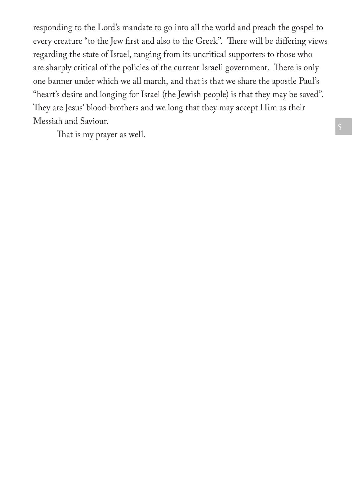responding to the Lord's mandate to go into all the world and preach the gospel to every creature "to the Jew first and also to the Greek". There will be differing views regarding the state of Israel, ranging from its uncritical supporters to those who are sharply critical of the policies of the current Israeli government. There is only one banner under which we all march, and that is that we share the apostle Paul's "heart's desire and longing for Israel (the Jewish people) is that they may be saved". They are Jesus' blood-brothers and we long that they may accept Him as their Messiah and Saviour.

That is my prayer as well.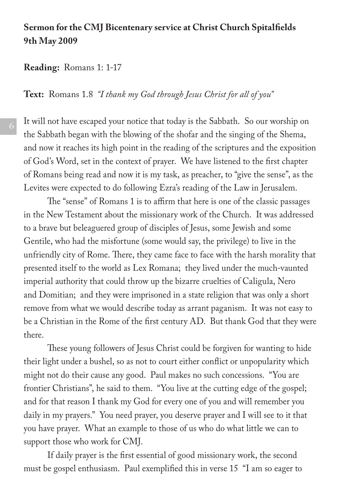## **Sermon for the CMJ Bicentenary service at Christ Church Spitalfields 9th May 2009**

#### **Reading:** Romans 1: 1-17

**Text:** Romans 1.8 *"I thank my God through Jesus Christ for all of you"*

It will not have escaped your notice that today is the Sabbath. So our worship on the Sabbath began with the blowing of the shofar and the singing of the Shema, and now it reaches its high point in the reading of the scriptures and the exposition of God's Word, set in the context of prayer. We have listened to the first chapter of Romans being read and now it is my task, as preacher, to "give the sense", as the Levites were expected to do following Ezra's reading of the Law in Jerusalem.

The "sense" of Romans 1 is to affirm that here is one of the classic passages in the New Testament about the missionary work of the Church. It was addressed to a brave but beleaguered group of disciples of Jesus, some Jewish and some Gentile, who had the misfortune (some would say, the privilege) to live in the unfriendly city of Rome. There, they came face to face with the harsh morality that presented itself to the world as Lex Romana; they lived under the much-vaunted imperial authority that could throw up the bizarre cruelties of Caligula, Nero and Domitian; and they were imprisoned in a state religion that was only a short remove from what we would describe today as arrant paganism. It was not easy to be a Christian in the Rome of the first century AD. But thank God that they were there.

These young followers of Jesus Christ could be forgiven for wanting to hide their light under a bushel, so as not to court either conflict or unpopularity which might not do their cause any good. Paul makes no such concessions. "You are frontier Christians", he said to them. "You live at the cutting edge of the gospel; and for that reason I thank my God for every one of you and will remember you daily in my prayers." You need prayer, you deserve prayer and I will see to it that you have prayer. What an example to those of us who do what little we can to support those who work for CMJ.

If daily prayer is the first essential of good missionary work, the second must be gospel enthusiasm. Paul exemplified this in verse 15 "I am so eager to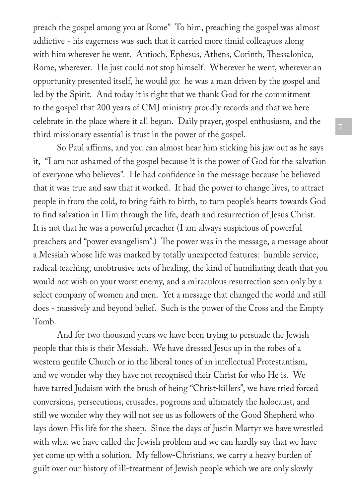preach the gospel among you at Rome" To him, preaching the gospel was almost addictive - his eagerness was such that it carried more timid colleagues along with him wherever he went. Antioch, Ephesus, Athens, Corinth, Thessalonica, Rome, wherever. He just could not stop himself. Wherever he went, wherever an opportunity presented itself, he would go: he was a man driven by the gospel and led by the Spirit. And today it is right that we thank God for the commitment to the gospel that 200 years of CMJ ministry proudly records and that we here celebrate in the place where it all began. Daily prayer, gospel enthusiasm, and the third missionary essential is trust in the power of the gospel.

So Paul affirms, and you can almost hear him sticking his jaw out as he says it, "I am not ashamed of the gospel because it is the power of God for the salvation of everyone who believes". He had confidence in the message because he believed that it was true and saw that it worked. It had the power to change lives, to attract people in from the cold, to bring faith to birth, to turn people's hearts towards God to find salvation in Him through the life, death and resurrection of Jesus Christ. It is not that he was a powerful preacher (I am always suspicious of powerful preachers and "power evangelism".) The power was in the message, a message about a Messiah whose life was marked by totally unexpected features: humble service, radical teaching, unobtrusive acts of healing, the kind of humiliating death that you would not wish on your worst enemy, and a miraculous resurrection seen only by a select company of women and men. Yet a message that changed the world and still does - massively and beyond belief. Such is the power of the Cross and the Empty Tomb.

And for two thousand years we have been trying to persuade the Jewish people that this is their Messiah. We have dressed Jesus up in the robes of a western gentile Church or in the liberal tones of an intellectual Protestantism, and we wonder why they have not recognised their Christ for who He is. We have tarred Judaism with the brush of being "Christ-killers", we have tried forced conversions, persecutions, crusades, pogroms and ultimately the holocaust, and still we wonder why they will not see us as followers of the Good Shepherd who lays down His life for the sheep. Since the days of Justin Martyr we have wrestled with what we have called the Jewish problem and we can hardly say that we have yet come up with a solution. My fellow-Christians, we carry a heavy burden of guilt over our history of ill-treatment of Jewish people which we are only slowly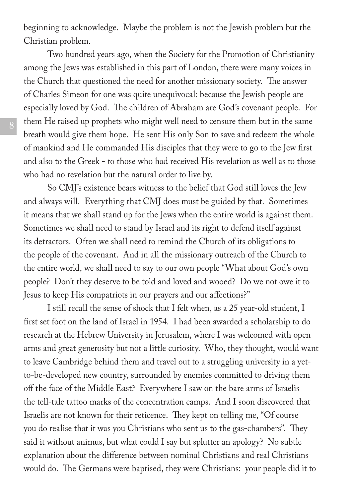beginning to acknowledge. Maybe the problem is not the Jewish problem but the Christian problem.

Two hundred years ago, when the Society for the Promotion of Christianity among the Jews was established in this part of London, there were many voices in the Church that questioned the need for another missionary society. The answer of Charles Simeon for one was quite unequivocal: because the Jewish people are especially loved by God. The children of Abraham are God's covenant people. For them He raised up prophets who might well need to censure them but in the same breath would give them hope. He sent His only Son to save and redeem the whole of mankind and He commanded His disciples that they were to go to the Jew first and also to the Greek - to those who had received His revelation as well as to those who had no revelation but the natural order to live by.

So CMJ's existence bears witness to the belief that God still loves the Jew and always will. Everything that CMJ does must be guided by that. Sometimes it means that we shall stand up for the Jews when the entire world is against them. Sometimes we shall need to stand by Israel and its right to defend itself against its detractors. Often we shall need to remind the Church of its obligations to the people of the covenant. And in all the missionary outreach of the Church to the entire world, we shall need to say to our own people "What about God's own people? Don't they deserve to be told and loved and wooed? Do we not owe it to Jesus to keep His compatriots in our prayers and our affections?"

I still recall the sense of shock that I felt when, as a 25 year-old student, I first set foot on the land of Israel in 1954. I had been awarded a scholarship to do research at the Hebrew University in Jerusalem, where I was welcomed with open arms and great generosity but not a little curiosity. Who, they thought, would want to leave Cambridge behind them and travel out to a struggling university in a yetto-be-developed new country, surrounded by enemies committed to driving them off the face of the Middle East? Everywhere I saw on the bare arms of Israelis the tell-tale tattoo marks of the concentration camps. And I soon discovered that Israelis are not known for their reticence. They kept on telling me, "Of course you do realise that it was you Christians who sent us to the gas-chambers". They said it without animus, but what could I say but splutter an apology? No subtle explanation about the difference between nominal Christians and real Christians would do. The Germans were baptised, they were Christians: your people did it to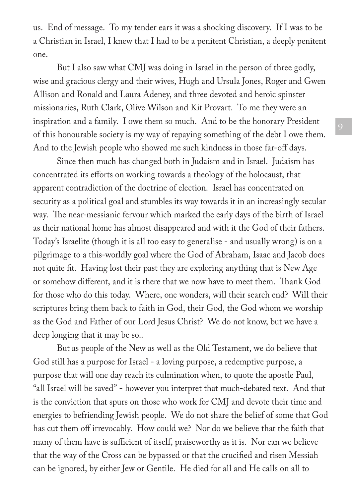us. End of message. To my tender ears it was a shocking discovery. If I was to be a Christian in Israel, I knew that I had to be a penitent Christian, a deeply penitent one.

But I also saw what CMJ was doing in Israel in the person of three godly, wise and gracious clergy and their wives, Hugh and Ursula Jones, Roger and Gwen Allison and Ronald and Laura Adeney, and three devoted and heroic spinster missionaries, Ruth Clark, Olive Wilson and Kit Provart. To me they were an inspiration and a family. I owe them so much. And to be the honorary President of this honourable society is my way of repaying something of the debt I owe them. And to the Jewish people who showed me such kindness in those far-off days.

Since then much has changed both in Judaism and in Israel. Judaism has concentrated its efforts on working towards a theology of the holocaust, that apparent contradiction of the doctrine of election. Israel has concentrated on security as a political goal and stumbles its way towards it in an increasingly secular way. The near-messianic fervour which marked the early days of the birth of Israel as their national home has almost disappeared and with it the God of their fathers. Today's Israelite (though it is all too easy to generalise - and usually wrong) is on a pilgrimage to a this-worldly goal where the God of Abraham, Isaac and Jacob does not quite fit. Having lost their past they are exploring anything that is New Age or somehow different, and it is there that we now have to meet them. Thank God for those who do this today. Where, one wonders, will their search end? Will their scriptures bring them back to faith in God, their God, the God whom we worship as the God and Father of our Lord Jesus Christ? We do not know, but we have a deep longing that it may be so..

But as people of the New as well as the Old Testament, we do believe that God still has a purpose for Israel - a loving purpose, a redemptive purpose, a purpose that will one day reach its culmination when, to quote the apostle Paul, "all Israel will be saved" - however you interpret that much-debated text. And that is the conviction that spurs on those who work for CMJ and devote their time and energies to befriending Jewish people. We do not share the belief of some that God has cut them off irrevocably. How could we? Nor do we believe that the faith that many of them have is sufficient of itself, praiseworthy as it is. Nor can we believe that the way of the Cross can be bypassed or that the crucified and risen Messiah can be ignored, by either Jew or Gentile. He died for all and He calls on all to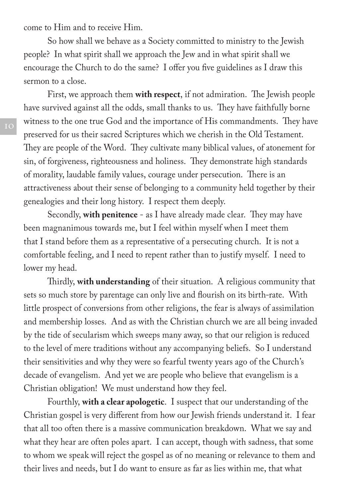come to Him and to receive Him.

So how shall we behave as a Society committed to ministry to the Jewish people? In what spirit shall we approach the Jew and in what spirit shall we encourage the Church to do the same? I offer you five guidelines as I draw this sermon to a close.

First, we approach them **with respect**, if not admiration. The Jewish people have survived against all the odds, small thanks to us. They have faithfully borne witness to the one true God and the importance of His commandments. They have preserved for us their sacred Scriptures which we cherish in the Old Testament. They are people of the Word. They cultivate many biblical values, of atonement for sin, of forgiveness, righteousness and holiness. They demonstrate high standards of morality, laudable family values, courage under persecution. There is an attractiveness about their sense of belonging to a community held together by their genealogies and their long history. I respect them deeply.

Secondly, **with penitence** - as I have already made clear. They may have been magnanimous towards me, but I feel within myself when I meet them that I stand before them as a representative of a persecuting church. It is not a comfortable feeling, and I need to repent rather than to justify myself. I need to lower my head.

Thirdly, **with understanding** of their situation. A religious community that sets so much store by parentage can only live and flourish on its birth-rate. With little prospect of conversions from other religions, the fear is always of assimilation and membership losses. And as with the Christian church we are all being invaded by the tide of secularism which sweeps many away, so that our religion is reduced to the level of mere traditions without any accompanying beliefs. So I understand their sensitivities and why they were so fearful twenty years ago of the Church's decade of evangelism. And yet we are people who believe that evangelism is a Christian obligation! We must understand how they feel.

Fourthly, **with a clear apologetic**. I suspect that our understanding of the Christian gospel is very different from how our Jewish friends understand it. I fear that all too often there is a massive communication breakdown. What we say and what they hear are often poles apart. I can accept, though with sadness, that some to whom we speak will reject the gospel as of no meaning or relevance to them and their lives and needs, but I do want to ensure as far as lies within me, that what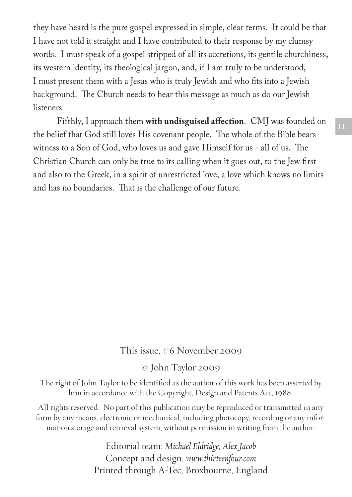they have heard is the pure gospel expressed in simple, clear terms. It could be that I have not told it straight and I have contributed to their response by my clumsy words. I must speak of a gospel stripped of all its accretions, its gentile churchiness, its western identity, its theological jargon, and, if I am truly to be understood, I must present them with a Jesus who is truly Jewish and who fits into a Jewish background. The Church needs to hear this message as much as do our Jewish listeners.

Fifthly, I approach them **with undisguised affection**. CMJ was founded on the belief that God still loves His covenant people. The whole of the Bible bears witness to a Son of God, who loves us and gave Himself for us - all of us. The Christian Church can only be true to its calling when it goes out, to the Jew first and also to the Greek, in a spirit of unrestricted love, a love which knows no limits and has no boundaries. That is the challenge of our future.

### This issue, #6 November 2009

© John Taylor 2009

The right of John Taylor to be identified as the author of this work has been asserted by him in accordance with the Copyright, Design and Patents Act, 1988.

All rights reserved. No part of this publication may be reproduced or transmitted in any form by any means, electronic or mechanical, including photocopy, recording or any information storage and retrieval system, without permission in writing from the author.

> Editorial team: *Michael Eldridge, Alex Jacob* Concept and design: *www.thirteenfour.com* Printed through A-Tec, Broxbourne, England